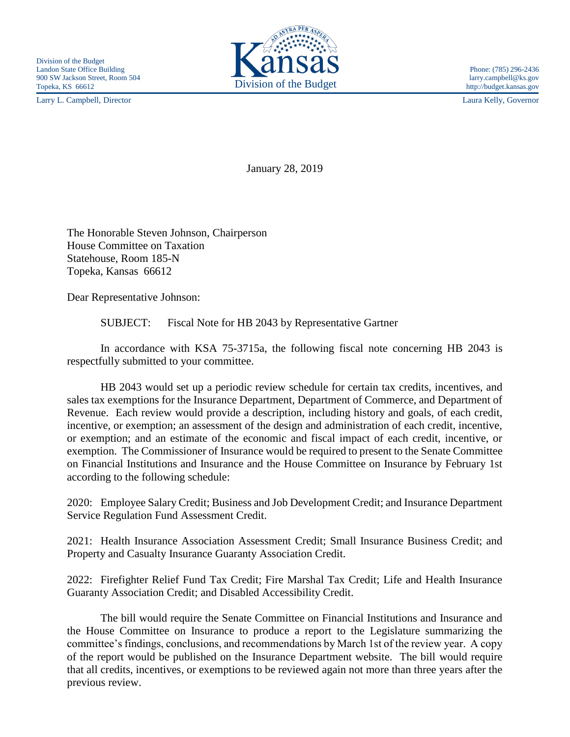Larry L. Campbell, Director Laura Kelly, Governor



January 28, 2019

The Honorable Steven Johnson, Chairperson House Committee on Taxation Statehouse, Room 185-N Topeka, Kansas 66612

Dear Representative Johnson:

SUBJECT: Fiscal Note for HB 2043 by Representative Gartner

In accordance with KSA 75-3715a, the following fiscal note concerning HB 2043 is respectfully submitted to your committee.

HB 2043 would set up a periodic review schedule for certain tax credits, incentives, and sales tax exemptions for the Insurance Department, Department of Commerce, and Department of Revenue. Each review would provide a description, including history and goals, of each credit, incentive, or exemption; an assessment of the design and administration of each credit, incentive, or exemption; and an estimate of the economic and fiscal impact of each credit, incentive, or exemption. The Commissioner of Insurance would be required to present to the Senate Committee on Financial Institutions and Insurance and the House Committee on Insurance by February 1st according to the following schedule:

2020: Employee Salary Credit; Business and Job Development Credit; and Insurance Department Service Regulation Fund Assessment Credit.

2021: Health Insurance Association Assessment Credit; Small Insurance Business Credit; and Property and Casualty Insurance Guaranty Association Credit.

2022: Firefighter Relief Fund Tax Credit; Fire Marshal Tax Credit; Life and Health Insurance Guaranty Association Credit; and Disabled Accessibility Credit.

The bill would require the Senate Committee on Financial Institutions and Insurance and the House Committee on Insurance to produce a report to the Legislature summarizing the committee's findings, conclusions, and recommendations by March 1st of the review year. A copy of the report would be published on the Insurance Department website. The bill would require that all credits, incentives, or exemptions to be reviewed again not more than three years after the previous review.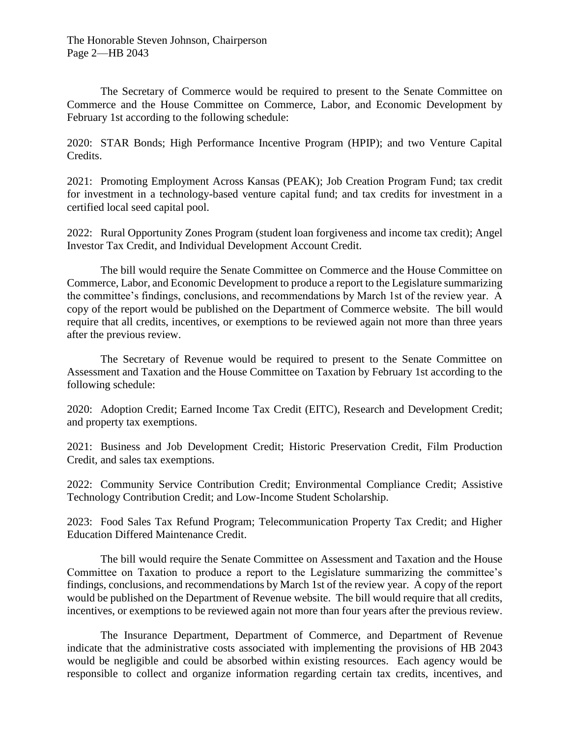The Secretary of Commerce would be required to present to the Senate Committee on Commerce and the House Committee on Commerce, Labor, and Economic Development by February 1st according to the following schedule:

2020: STAR Bonds; High Performance Incentive Program (HPIP); and two Venture Capital Credits.

2021: Promoting Employment Across Kansas (PEAK); Job Creation Program Fund; tax credit for investment in a technology-based venture capital fund; and tax credits for investment in a certified local seed capital pool.

2022: Rural Opportunity Zones Program (student loan forgiveness and income tax credit); Angel Investor Tax Credit, and Individual Development Account Credit.

The bill would require the Senate Committee on Commerce and the House Committee on Commerce, Labor, and Economic Development to produce a report to the Legislature summarizing the committee's findings, conclusions, and recommendations by March 1st of the review year. A copy of the report would be published on the Department of Commerce website. The bill would require that all credits, incentives, or exemptions to be reviewed again not more than three years after the previous review.

The Secretary of Revenue would be required to present to the Senate Committee on Assessment and Taxation and the House Committee on Taxation by February 1st according to the following schedule:

2020: Adoption Credit; Earned Income Tax Credit (EITC), Research and Development Credit; and property tax exemptions.

2021: Business and Job Development Credit; Historic Preservation Credit, Film Production Credit, and sales tax exemptions.

2022: Community Service Contribution Credit; Environmental Compliance Credit; Assistive Technology Contribution Credit; and Low-Income Student Scholarship.

2023: Food Sales Tax Refund Program; Telecommunication Property Tax Credit; and Higher Education Differed Maintenance Credit.

The bill would require the Senate Committee on Assessment and Taxation and the House Committee on Taxation to produce a report to the Legislature summarizing the committee's findings, conclusions, and recommendations by March 1st of the review year. A copy of the report would be published on the Department of Revenue website. The bill would require that all credits, incentives, or exemptions to be reviewed again not more than four years after the previous review.

The Insurance Department, Department of Commerce, and Department of Revenue indicate that the administrative costs associated with implementing the provisions of HB 2043 would be negligible and could be absorbed within existing resources. Each agency would be responsible to collect and organize information regarding certain tax credits, incentives, and